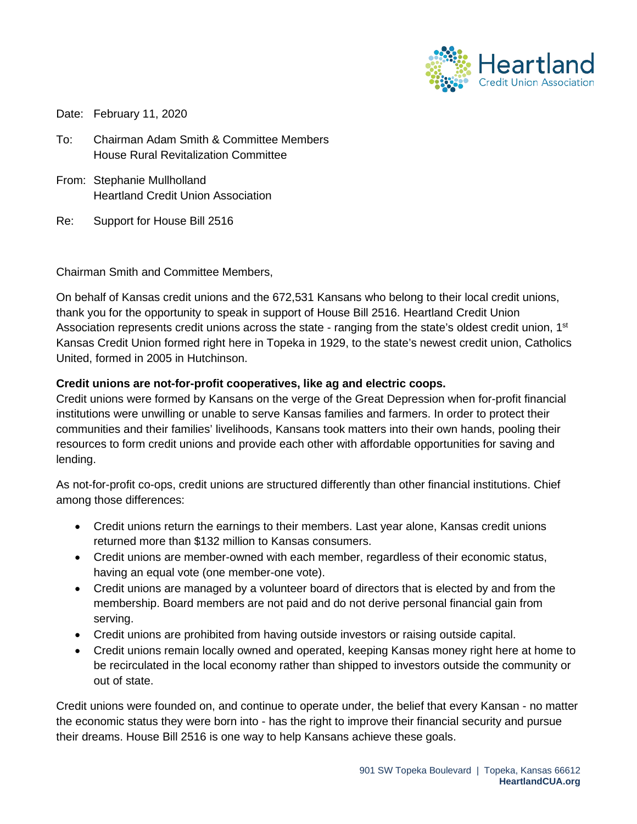

Date: February 11, 2020

To: Chairman Adam Smith & Committee Members House Rural Revitalization Committee

- From: Stephanie Mullholland Heartland Credit Union Association
- Re: Support for House Bill 2516

Chairman Smith and Committee Members,

On behalf of Kansas credit unions and the 672,531 Kansans who belong to their local credit unions, thank you for the opportunity to speak in support of House Bill 2516. Heartland Credit Union Association represents credit unions across the state - ranging from the state's oldest credit union, 1<sup>st</sup> Kansas Credit Union formed right here in Topeka in 1929, to the state's newest credit union, Catholics United, formed in 2005 in Hutchinson.

## **Credit unions are not-for-profit cooperatives, like ag and electric coops.**

Credit unions were formed by Kansans on the verge of the Great Depression when for-profit financial institutions were unwilling or unable to serve Kansas families and farmers. In order to protect their communities and their families' livelihoods, Kansans took matters into their own hands, pooling their resources to form credit unions and provide each other with affordable opportunities for saving and lending.

As not-for-profit co-ops, credit unions are structured differently than other financial institutions. Chief among those differences:

- Credit unions return the earnings to their members. Last year alone, Kansas credit unions returned more than \$132 million to Kansas consumers.
- Credit unions are member-owned with each member, regardless of their economic status, having an equal vote (one member-one vote).
- Credit unions are managed by a volunteer board of directors that is elected by and from the membership. Board members are not paid and do not derive personal financial gain from serving.
- Credit unions are prohibited from having outside investors or raising outside capital.
- Credit unions remain locally owned and operated, keeping Kansas money right here at home to be recirculated in the local economy rather than shipped to investors outside the community or out of state.

Credit unions were founded on, and continue to operate under, the belief that every Kansan - no matter the economic status they were born into - has the right to improve their financial security and pursue their dreams. House Bill 2516 is one way to help Kansans achieve these goals.